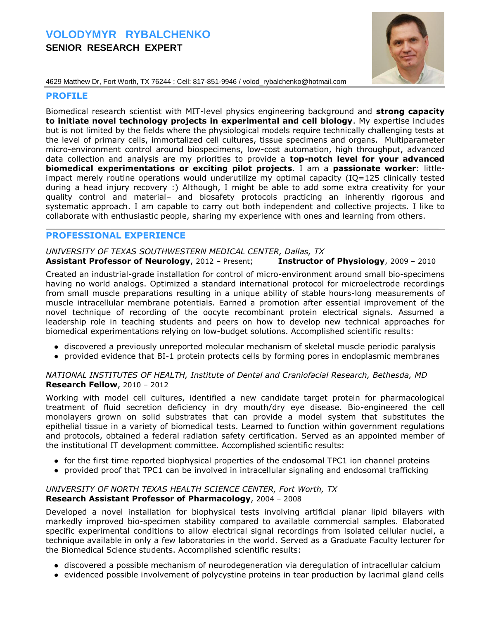# **VOLODYMYR RYBALCHENKO SENIOR RESEARCH EXPERT**



4629 Matthew Dr, Fort Worth, TX 76244 ; Cell: 817-851-9946 / volod\_rybalchenko@hotmail.com

#### **PROFILE**

Biomedical research scientist with MIT-level physics engineering background and **strong capacity to initiate novel technology projects in experimental and cell biology**. My expertise includes but is not limited by the fields where the physiological models require technically challenging tests at the level of primary cells, immortalized cell cultures, tissue specimens and organs. Multiparameter micro-environment control around biospecimens, low-cost automation, high throughput, advanced data collection and analysis are my priorities to provide a **top-notch level for your advanced biomedical experimentations or exciting pilot projects**. I am a **passionate worker**: littleimpact merely routine operations would underutilize my optimal capacity (IQ=125 clinically tested during a head injury recovery :) Although, I might be able to add some extra creativity for your quality control and material– and biosafety protocols practicing an inherently rigorous and systematic approach. I am capable to carry out both independent and collective projects. I like to collaborate with enthusiastic people, sharing my experience with ones and learning from others.

## **PROFESSIONAL EXPERIENCE**

### *UNIVERSITY OF TEXAS SOUTHWESTERN MEDICAL CENTER, Dallas, TX* **Assistant Professor of Neurology**, 2012 – Present; **Instructor of Physiology**, 2009 – 2010

 $\mathcal{L}_\mathcal{L} = \mathcal{L}_\mathcal{L} = \mathcal{L}_\mathcal{L} = \mathcal{L}_\mathcal{L} = \mathcal{L}_\mathcal{L} = \mathcal{L}_\mathcal{L} = \mathcal{L}_\mathcal{L} = \mathcal{L}_\mathcal{L} = \mathcal{L}_\mathcal{L} = \mathcal{L}_\mathcal{L} = \mathcal{L}_\mathcal{L} = \mathcal{L}_\mathcal{L} = \mathcal{L}_\mathcal{L} = \mathcal{L}_\mathcal{L} = \mathcal{L}_\mathcal{L} = \mathcal{L}_\mathcal{L} = \mathcal{L}_\mathcal{L}$ 

Created an industrial-grade installation for control of micro-environment around small bio-specimens having no world analogs. Optimized a standard international protocol for microelectrode recordings from small muscle preparations resulting in a unique ability of stable hours-long measurements of muscle intracellular membrane potentials. Earned a promotion after essential improvement of the novel technique of recording of the oocyte recombinant protein electrical signals. Assumed a leadership role in teaching students and peers on how to develop new technical approaches for biomedical experimentations relying on low-budget solutions. Accomplished scientific results:

- discovered a previously unreported molecular mechanism of skeletal muscle periodic paralysis
- provided evidence that BI-1 protein protects cells by forming pores in endoplasmic membranes

### *NATIONAL INSTITUTES OF HEALTH, Institute of Dental and Craniofacial Research, Bethesda, MD* **Research Fellow**, 2010 – 2012

Working with model cell cultures, identified a new candidate target protein for pharmacological treatment of fluid secretion deficiency in dry mouth/dry eye disease. Bio-engineered the cell monolayers grown on solid substrates that can provide a model system that substitutes the epithelial tissue in a variety of biomedical tests. Learned to function within government regulations and protocols, obtained a federal radiation safety certification. Served as an appointed member of the institutional IT development committee. Accomplished scientific results:

- for the first time reported biophysical properties of the endosomal TPC1 ion channel proteins
- provided proof that TPC1 can be involved in intracellular signaling and endosomal trafficking

### *UNIVERSITY OF NORTH TEXAS HEALTH SCIENCE CENTER, Fort Worth, TX* **Research Assistant Professor of Pharmacology**, 2004 – 2008

Developed a novel installation for biophysical tests involving artificial planar lipid bilayers with markedly improved bio-specimen stability compared to available commercial samples. Elaborated specific experimental conditions to allow electrical signal recordings from isolated cellular nuclei, a technique available in only a few laboratories in the world. Served as a Graduate Faculty lecturer for the Biomedical Science students. Accomplished scientific results:

- discovered a possible mechanism of neurodegeneration via deregulation of intracellular calcium
- evidenced possible involvement of polycystine proteins in tear production by lacrimal gland cells